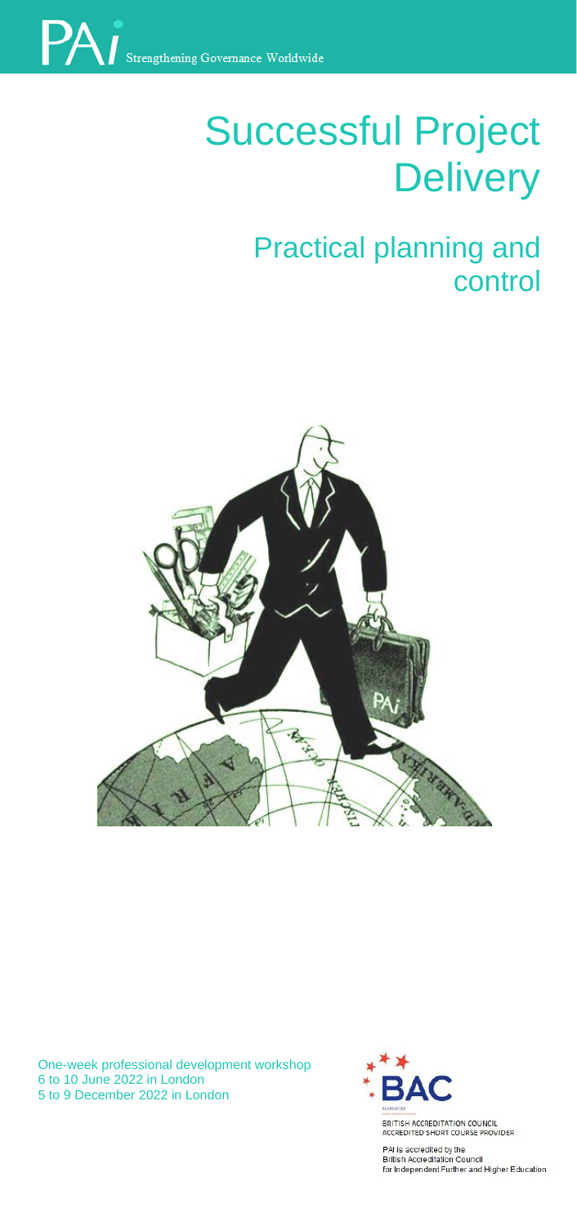

# Successful Project **Delivery**

# **Practical planning and** control



One-week professional development workshop 6 to 10 June 2022 in London 5 to 9 December 2022 in London



**BRITISH ACCREDITED BY AT** for Independent Further and I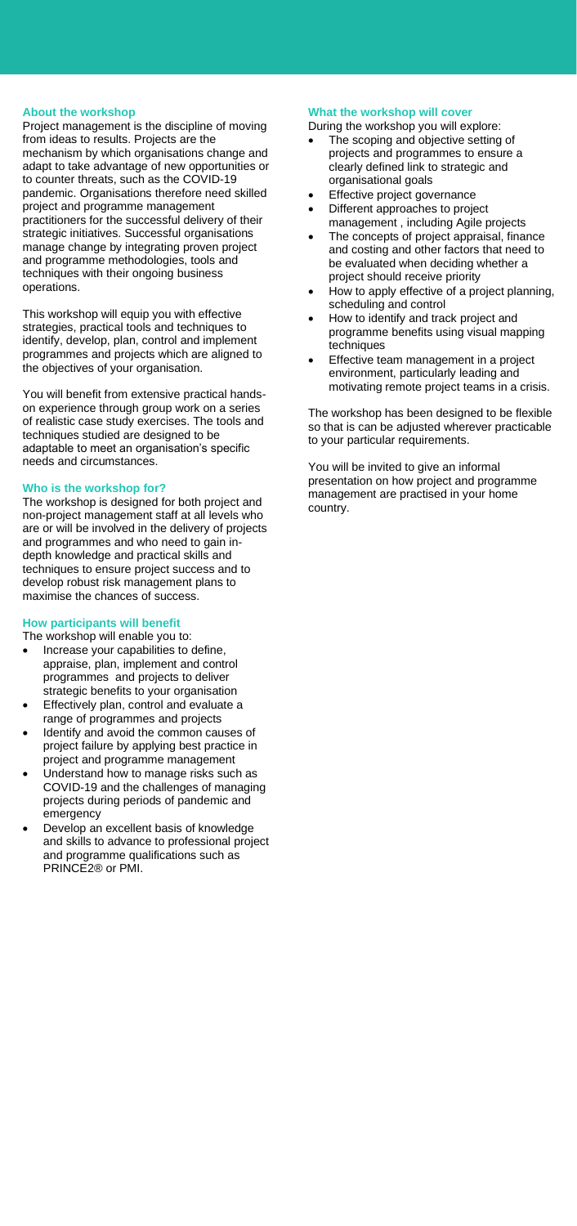#### **About the workshop**

Project management is the discipline of moving from ideas to results. Projects are the mechanism by which organisations change and adapt to take advantage of new opportunities or to counter threats, such as the COVID-19 pandemic. Organisations therefore need skilled project and programme management practitioners for the successful delivery of their strategic initiatives. Successful organisations manage change by integrating proven project and programme methodologies, tools and techniques with their ongoing business operations.

This workshop will equip you with effective strategies, practical tools and techniques to identify, develop, plan, control and implement programmes and projects which are aligned to the objectives of your organisation.

You will benefit from extensive practical handson experience through group work on a series of realistic case study exercises. The tools and techniques studied are designed to be adaptable to meet an organisation's specific needs and circumstances.

# **Who is the workshop for?**

The workshop is designed for both project and non-project management staff at all levels who are or will be involved in the delivery of projects and programmes and who need to gain indepth knowledge and practical skills and techniques to ensure project success and to develop robust risk management plans to maximise the chances of success.

# **How participants will benefit**

The workshop will enable you to:

- Increase your capabilities to define, appraise, plan, implement and control programmes and projects to deliver strategic benefits to your organisation
- Effectively plan, control and evaluate a range of programmes and projects
- Identify and avoid the common causes of project failure by applying best practice in project and programme management
- Understand how to manage risks such as COVID-19 and the challenges of managing projects during periods of pandemic and emergency
- Develop an excellent basis of knowledge and skills to advance to professional project and programme qualifications such as PRINCE2® or PMI.

#### **What the workshop will cover**

During the workshop you will explore:

- The scoping and objective setting of projects and programmes to ensure a clearly defined link to strategic and organisational goals
- Effective project governance • Different approaches to project
- management , including Agile projects The concepts of project appraisal, finance
- and costing and other factors that need to be evaluated when deciding whether a project should receive priority
- How to apply effective of a project planning, scheduling and control
- How to identify and track project and programme benefits using visual mapping techniques
- Effective team management in a project environment, particularly leading and motivating remote project teams in a crisis.

The workshop has been designed to be flexible so that is can be adjusted wherever practicable to your particular requirements.

You will be invited to give an informal presentation on how project and programme management are practised in your home country.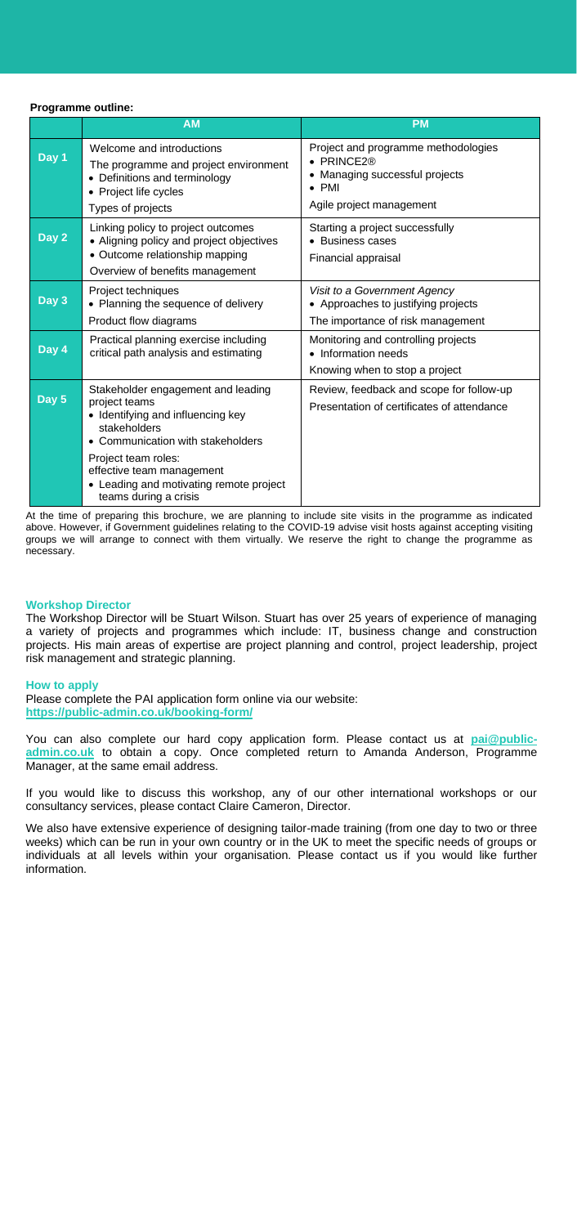#### **Programme outline:**

|                    | <b>AM</b>                                                                                                                                           | <b>PM</b>                                                                                                                      |
|--------------------|-----------------------------------------------------------------------------------------------------------------------------------------------------|--------------------------------------------------------------------------------------------------------------------------------|
| Day 1              | Welcome and introductions<br>The programme and project environment<br>• Definitions and terminology<br>• Project life cycles<br>Types of projects   | Project and programme methodologies<br>PRINCE2®<br>Managing successful projects<br>٠<br><b>PMI</b><br>Agile project management |
| Day $2$            | Linking policy to project outcomes<br>• Aligning policy and project objectives<br>• Outcome relationship mapping<br>Overview of benefits management | Starting a project successfully<br><b>Business cases</b><br>Financial appraisal                                                |
| Day 3              | Project techniques<br>• Planning the sequence of delivery<br>Product flow diagrams                                                                  | Visit to a Government Agency<br>• Approaches to justifying projects<br>The importance of risk management                       |
| Day $\overline{4}$ | Practical planning exercise including<br>critical path analysis and estimating                                                                      | Monitoring and controlling projects<br>Information needs<br>Knowing when to stop a project                                     |
| Day $5$            | Stakeholder engagement and leading<br>project teams<br>• Identifying and influencing key<br>stakeholders<br>• Communication with stakeholders       | Review, feedback and scope for follow-up<br>Presentation of certificates of attendance                                         |
|                    | Project team roles:<br>effective team management<br>• Leading and motivating remote project<br>teams during a crisis                                |                                                                                                                                |

At the time of preparing this brochure, we are planning to include site visits in the programme as indicated above. However, if Government guidelines relating to the COVID-19 advise visit hosts against accepting visiting groups we will arrange to connect with them virtually. We reserve the right to change the programme as necessary.

#### **Workshop Director**

The Workshop Director will be Stuart Wilson. Stuart has over 25 years of experience of managing a variety of projects and programmes which include: IT, business change and construction projects. His main areas of expertise are project planning and control, project leadership, project risk management and strategic planning.

#### **How to apply**

Please complete the PAI application form online via our website: **<https://public-admin.co.uk/booking-form/>**

You can also complete our hard copy application form. Please contact us at **[pai@public](mailto:pai@public-admin.co.uk)[admin.co.uk](mailto:pai@public-admin.co.uk)** to obtain a copy. Once completed return to Amanda Anderson, Programme Manager, at the same email address.

If you would like to discuss this workshop, any of our other international workshops or our consultancy services, please contact Claire Cameron, Director.

We also have extensive experience of designing tailor-made training (from one day to two or three weeks) which can be run in your own country or in the UK to meet the specific needs of groups or individuals at all levels within your organisation. Please contact us if you would like further information.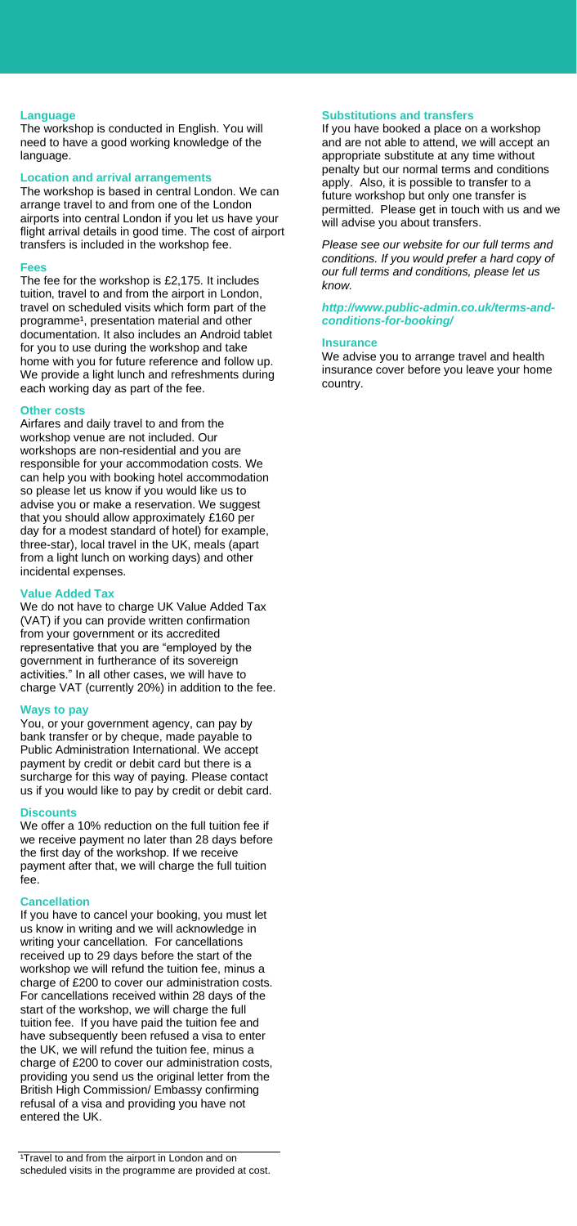#### **Language**

The workshop is conducted in English. You will need to have a good working knowledge of the language.

# **Location and arrival arrangements**

The workshop is based in central London. We can arrange travel to and from one of the London airports into central London if you let us have your flight arrival details in good time. The cost of airport transfers is included in the workshop fee.

#### **Fees**

The fee for the workshop is £2,175. It includes tuition, travel to and from the airport in London, travel on scheduled visits which form part of the programme<sup>1</sup>, presentation material and other documentation. It also includes an Android tablet for you to use during the workshop and take home with you for future reference and follow up. We provide a light lunch and refreshments during each working day as part of the fee.

#### **Other costs**

Airfares and daily travel to and from the workshop venue are not included. Our workshops are non-residential and you are responsible for your accommodation costs. We can help you with booking hotel accommodation so please let us know if you would like us to advise you or make a reservation. We suggest that you should allow approximately £160 per day for a modest standard of hotel) for example, three-star), local travel in the UK, meals (apart from a light lunch on working days) and other incidental expenses.

#### **Value Added Tax**

We do not have to charge UK Value Added Tax (VAT) if you can provide written confirmation from your government or its accredited representative that you are "employed by the government in furtherance of its sovereign activities." In all other cases, we will have to charge VAT (currently 20%) in addition to the fee.

#### **Ways to pay**

You, or your government agency, can pay by bank transfer or by cheque, made payable to Public Administration International. We accept payment by credit or debit card but there is a surcharge for this way of paying. Please contact us if you would like to pay by credit or debit card.

#### **Discounts**

We offer a 10% reduction on the full tuition fee if we receive payment no later than 28 days before the first day of the workshop. If we receive payment after that, we will charge the full tuition fee.

#### **Cancellation**

If you have to cancel your booking, you must let us know in writing and we will acknowledge in writing your cancellation. For cancellations received up to 29 days before the start of the workshop we will refund the tuition fee, minus a charge of £200 to cover our administration costs. For cancellations received within 28 days of the start of the workshop, we will charge the full tuition fee. If you have paid the tuition fee and have subsequently been refused a visa to enter the UK, we will refund the tuition fee, minus a charge of £200 to cover our administration costs, providing you send us the original letter from the British High Commission/ Embassy confirming refusal of a visa and providing you have not entered the UK.

#### **Substitutions and transfers**

If you have booked a place on a workshop and are not able to attend, we will accept an appropriate substitute at any time without penalty but our normal terms and conditions apply. Also, it is possible to transfer to a future workshop but only one transfer is permitted. Please get in touch with us and we will advise you about transfers.

*Please see our website for our full terms and conditions. If you would prefer a hard copy of our full terms and conditions, please let us know.* 

*[http://www.public-admin.co.uk/terms-and](http://www.public-admin.co.uk/terms-and-conditions-for-booking/)[conditions-for-booking/](http://www.public-admin.co.uk/terms-and-conditions-for-booking/)*

#### **Insurance**

We advise you to arrange travel and health insurance cover before you leave your home country.

<sup>&</sup>lt;sup>1</sup>Travel to and from the airport in London and on scheduled visits in the programme are provided at cost.